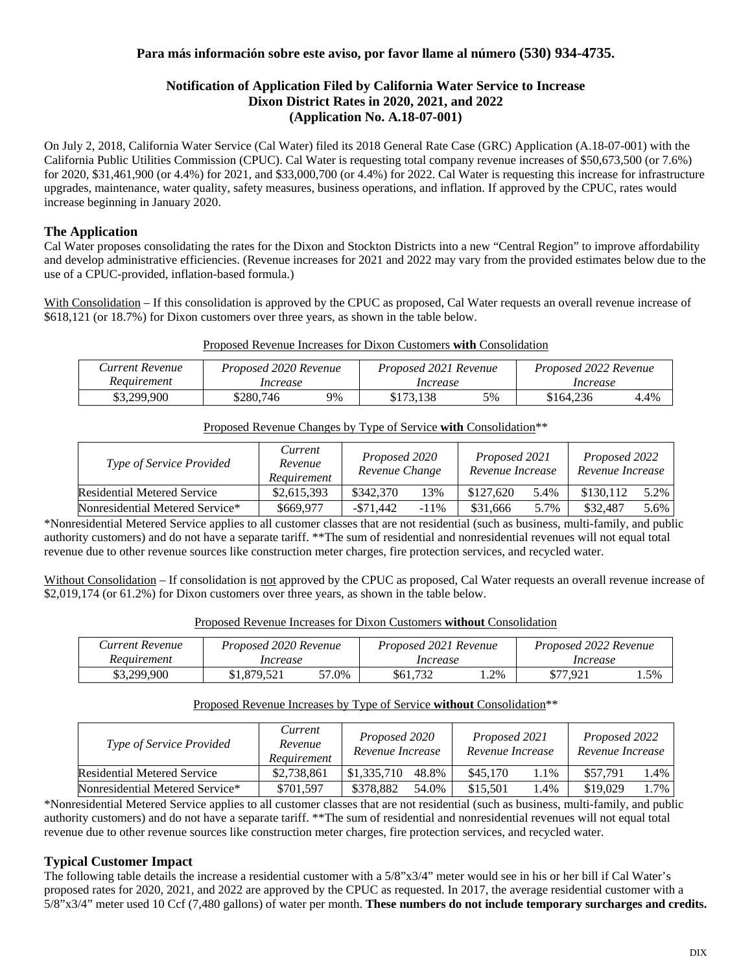## **Para más información sobre este aviso, por favor llame al número (530) 934-4735.**

## **Notification of Application Filed by California Water Service to Increase Dixon District Rates in 2020, 2021, and 2022 (Application No. A.18-07-001)**

On July 2, 2018, California Water Service (Cal Water) filed its 2018 General Rate Case (GRC) Application (A.18-07-001) with the California Public Utilities Commission (CPUC). Cal Water is requesting total company revenue increases of \$50,673,500 (or 7.6%) for 2020, \$31,461,900 (or 4.4%) for 2021, and \$33,000,700 (or 4.4%) for 2022. Cal Water is requesting this increase for infrastructure upgrades, maintenance, water quality, safety measures, business operations, and inflation. If approved by the CPUC, rates would increase beginning in January 2020.

## **The Application**

Cal Water proposes consolidating the rates for the Dixon and Stockton Districts into a new "Central Region" to improve affordability and develop administrative efficiencies. (Revenue increases for 2021 and 2022 may vary from the provided estimates below due to the use of a CPUC-provided, inflation-based formula.)

With Consolidation – If this consolidation is approved by the CPUC as proposed, Cal Water requests an overall revenue increase of \$618,121 (or 18.7%) for Dixon customers over three years, as shown in the table below.

|  |  |  |  |  |  |  |  | Proposed Revenue Increases for Dixon Customers with Consolidation |
|--|--|--|--|--|--|--|--|-------------------------------------------------------------------|
|--|--|--|--|--|--|--|--|-------------------------------------------------------------------|

| Current Revenue | Proposed 2020 Revenue |    | Proposed 2021 Revenue |    | Proposed 2022 Revenue |      |  |
|-----------------|-----------------------|----|-----------------------|----|-----------------------|------|--|
| Reauirement     | Increase              |    | Increase              |    | Increase              |      |  |
| \$3,299,900     | \$280.746             | 9% | \$173.138             | 5% | \$164.236             | 4.4% |  |

#### Proposed Revenue Changes by Type of Service **with** Consolidation\*\*

| <i>Type of Service Provided</i> | Current<br>Revenue<br>Requirement | Proposed 2020<br>Revenue Change |         | Proposed 2021<br>Revenue Increase |      | Proposed 2022<br>Revenue Increase |      |
|---------------------------------|-----------------------------------|---------------------------------|---------|-----------------------------------|------|-----------------------------------|------|
| Residential Metered Service     | \$2,615,393                       | \$342,370                       | 13%     | \$127,620                         | 5.4% | \$130.112                         | 5.2% |
| Nonresidential Metered Service* | \$669,977                         | $-$ \$71.442                    | $-11\%$ | \$31,666                          | 5.7% | \$32.487                          | 5.6% |

\*Nonresidential Metered Service applies to all customer classes that are not residential (such as business, multi-family, and public authority customers) and do not have a separate tariff. \*\*The sum of residential and nonresidential revenues will not equal total revenue due to other revenue sources like construction meter charges, fire protection services, and recycled water.

Without Consolidation – If consolidation is not approved by the CPUC as proposed, Cal Water requests an overall revenue increase of \$2,019,174 (or 61.2%) for Dixon customers over three years, as shown in the table below.

|  |  |  |  |  |  |  |  |  | Proposed Revenue Increases for Dixon Customers without Consolidation |
|--|--|--|--|--|--|--|--|--|----------------------------------------------------------------------|
|--|--|--|--|--|--|--|--|--|----------------------------------------------------------------------|

| Current Revenue | Proposed 2020 Revenue |       | Proposed 2021 Revenue |       | Proposed 2022 Revenue |     |
|-----------------|-----------------------|-------|-----------------------|-------|-----------------------|-----|
| Reauirement     | Increase              |       | Increase              |       | Increase              |     |
| \$3,299,900     | \$1,879,521           | 57.0% | \$61,732              | . .2% | \$77.921              | .5% |

#### Proposed Revenue Increases by Type of Service **without** Consolidation\*\*

| Type of Service Provided           | Current<br>Revenue<br>Requirement |                      | Proposed 2021<br>Revenue Increase | Proposed 2022<br>Revenue Increase |  |
|------------------------------------|-----------------------------------|----------------------|-----------------------------------|-----------------------------------|--|
| <b>Residential Metered Service</b> | \$2.738,861                       | \$1,335,710<br>48.8% | \$45,170<br>$.1\%$                | \$57.791<br>.4%                   |  |
| Nonresidential Metered Service*    | \$701.597                         | \$378.882<br>54.0%   | \$15.501<br>$.4\%$                | \$19,029<br>$1.7\%$               |  |

\*Nonresidential Metered Service applies to all customer classes that are not residential (such as business, multi-family, and public authority customers) and do not have a separate tariff. \*\*The sum of residential and nonresidential revenues will not equal total revenue due to other revenue sources like construction meter charges, fire protection services, and recycled water.

# **Typical Customer Impact**

The following table details the increase a residential customer with a 5/8"x3/4" meter would see in his or her bill if Cal Water's proposed rates for 2020, 2021, and 2022 are approved by the CPUC as requested. In 2017, the average residential customer with a 5/8"x3/4" meter used 10 Ccf (7,480 gallons) of water per month. **These numbers do not include temporary surcharges and credits.**